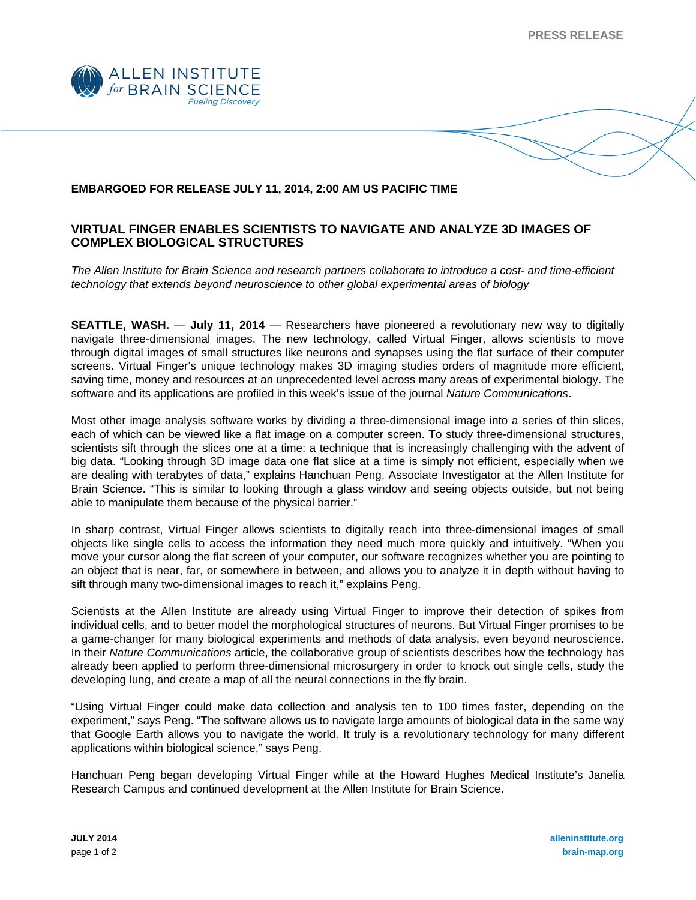**PRESS RELEASE** 



## **EMBARGOED FOR RELEASE JULY 11, 2014, 2:00 AM US PACIFIC TIME**

## **VIRTUAL FINGER ENABLES SCIENTISTS TO NAVIGATE AND ANALYZE 3D IMAGES OF COMPLEX BIOLOGICAL STRUCTURES**

*The Allen Institute for Brain Science and research partners collaborate to introduce a cost- and time-efficient technology that extends beyond neuroscience to other global experimental areas of biology* 

**SEATTLE, WASH.** — **July 11, 2014** — Researchers have pioneered a revolutionary new way to digitally navigate three-dimensional images. The new technology, called Virtual Finger, allows scientists to move through digital images of small structures like neurons and synapses using the flat surface of their computer screens. Virtual Finger's unique technology makes 3D imaging studies orders of magnitude more efficient, saving time, money and resources at an unprecedented level across many areas of experimental biology. The software and its applications are profiled in this week's issue of the journal *Nature Communications*.

Most other image analysis software works by dividing a three-dimensional image into a series of thin slices, each of which can be viewed like a flat image on a computer screen. To study three-dimensional structures, scientists sift through the slices one at a time: a technique that is increasingly challenging with the advent of big data. "Looking through 3D image data one flat slice at a time is simply not efficient, especially when we are dealing with terabytes of data," explains Hanchuan Peng, Associate Investigator at the Allen Institute for Brain Science. "This is similar to looking through a glass window and seeing objects outside, but not being able to manipulate them because of the physical barrier."

In sharp contrast, Virtual Finger allows scientists to digitally reach into three-dimensional images of small objects like single cells to access the information they need much more quickly and intuitively. "When you move your cursor along the flat screen of your computer, our software recognizes whether you are pointing to an object that is near, far, or somewhere in between, and allows you to analyze it in depth without having to sift through many two-dimensional images to reach it," explains Peng.

Scientists at the Allen Institute are already using Virtual Finger to improve their detection of spikes from individual cells, and to better model the morphological structures of neurons. But Virtual Finger promises to be a game-changer for many biological experiments and methods of data analysis, even beyond neuroscience. In their *Nature Communications* article, the collaborative group of scientists describes how the technology has already been applied to perform three-dimensional microsurgery in order to knock out single cells, study the developing lung, and create a map of all the neural connections in the fly brain.

"Using Virtual Finger could make data collection and analysis ten to 100 times faster, depending on the experiment," says Peng. "The software allows us to navigate large amounts of biological data in the same way that Google Earth allows you to navigate the world. It truly is a revolutionary technology for many different applications within biological science," says Peng.

Hanchuan Peng began developing Virtual Finger while at the Howard Hughes Medical Institute's Janelia Research Campus and continued development at the Allen Institute for Brain Science.